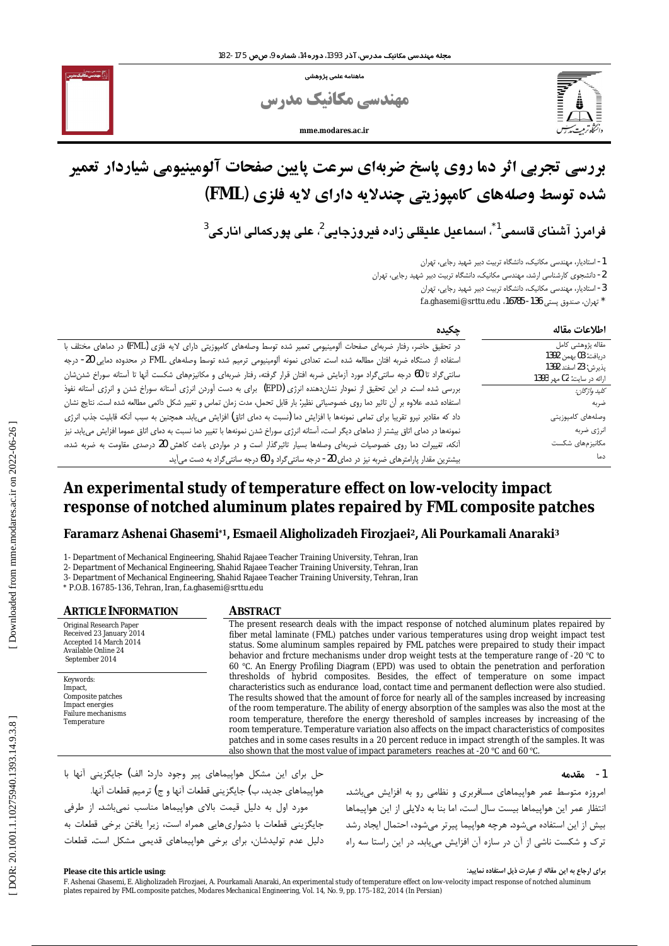.<br>ماهنامه علمی یژوهشی

مهندسی مکانیک مدرس

mme modares ac in



# بررسی تجربی اثر دما روی پاسخ ضربهای سرعت پایین صفحات آلومینیومی شیاردار تعمیر شده توسط وصلههای کامپوزیتی چندلایه دارای لایه فلزی (FML)

 $^3$ فرامرز آشنای قاسمی $^*$ ، اسماعیل علیقلی زادہ فیروزجایی $^2$ ، علی یورکمالی انارکی

1- استادیار، مهندسی مکانیک، دانشگاه تربیت دبیر شهید رجایی، تهران

2- دانشجوی کارشناسی ارشد، مهندسی مکانیک، دانشگاه تربیت دبیر شهید رجایی، تهران

۔<br>3- استادیار، مهندسی مکانیک، دانشگاه تربیت دبیر شهید رجایی، تهران

` تهران، صندوق پستی 136- 16785، f.a.ghasemi@srttu.edu

| ڃکيده                                                                                                                                 | اطلاعات مقاله                                      |
|---------------------------------------------------------------------------------------------------------------------------------------|----------------------------------------------------|
| در تحقیق حاضر، رفتار ضربهای صفحات آلومینیومی تعمیر شده توسط وصلههای کامپوزیتی دارای لایه فلزی (FML) در دماهای مختلف با                | مقاله پژوهشی کامل                                  |
| استفاده از دستگاه ضربه افتان مطالعه شده است. تعدادی نمونه آلومینیومی ترمیم شده توسط وصلههای FML در محدوده دمایی 20- درجه              | دريافت: 03 بهمن 1392                               |
| سانتیگراد تا 60 درجه سانتیگراد مورد أزمایش ضربه افتان قرار گرفته، رفتار ضربهای و مکانیزمهای شکست أنها تا أستانه سوراخ شدن،شان         | يذيرش: 23 اسفند 1392<br>ارائه در سايت: 02 مهر 1393 |
| بررسی شده است. در این تحقیق از نمودار نشاندهنده انرژی (EPD) برای به دست آوردن انرژی آستانه سوراخ شدن و انرژی آستانه نفوذ              | كليد واژگان:                                       |
| استفاده شده، علاوه بر آن تاثیر دما روی خصوصیاتی نظیر: بار قابل تحمل، مدت زمان تماس و تغییر شکل دائمی مطالعه شده است. نتایج نشان       | ضربه                                               |
| داد که مقادیر نیرو تقریبا برای تمامی نمونهها با افزایش دما (نسبت به دمای اتاق) افزایش مییابد. همچنین به سبب آنکه قابلیت جذب انرژی     | وصلەهاى كامپوزيتى                                  |
| نمونهها در دمای اتاق بیشتر از دماهای دیگر است، آستانه انرژی سوراخ شدن نمونهها با تغییر دما نسبت به دمای اتاق عموما افزایش مییابد. نیز | انرژى ضربه                                         |
| أنکه، تغییرات دما روی خصوصیات ضربهای وصلهها بسیار تاثیرگذار است و در مواردی باعث کاهش 20 درصدی مقاومت به ضربه شده،                    | مكانيزمهاى شكست                                    |
| بیشترین مقدار پارامترهای ضربه نیز در دمای 20- درجه سانتیگراد و 60 درجه سانتیگراد به دست میآید.                                        | دما                                                |

# An experimental study of temperature effect on low-velocity impact response of notched aluminum plates repaired by FML composite patches

# Faramarz Ashenai Ghasemi\*1, Esmaeil Aligholizadeh Firozjaei<sup>2</sup>, Ali Pourkamali Anaraki<sup>3</sup>

1- Department of Mechanical Engineering, Shahid Rajaee Teacher Training University, Tehran, Iran

2- Department of Mechanical Engineering, Shahid Rajaee Teacher Training University, Tehran, Iran

3- Department of Mechanical Engineering, Shahid Rajaee Teacher Training University, Tehran, Iran

\* P.O.B. 16785-136, Tehran, Iran, f.a.ghasemi@srttu.edu

**ARTICLE INFORMATION** Original Research Paper Received 23 January 2014 Accepted 14 March 2014 Available Online 24 September 2014

Keywords: Impact. Composite patches Impact energies<br>Failure mechanisms Temperature

#### **ABSTRACT**

The present research deals with the impact response of notched aluminum plates repaired by fiber metal laminate (FML) patches under various temperatures using drop weight impact test status. Some aluminum samples repaired by FML patches were prepaired to study their impact behavior and frcture mechanisms under drop weight tests at the temperature range of -20 °C to 60 °C. An Energy Profiling Diagram (EPD) was used to obtain the penetration and perforation thresholds of hybrid composites. Besides, the effect of temperature on some impact characteristics such as endurance load, contact time and permanent deflection were also studied. The results showed that the amount of force for nearly all of the samples increased by increasing of the room temperature. The ability of energy absorption of the samples was also the most at the room temperature, therefore the energy thereshold of samples increases by increasing of the room temperature. Temperature variation also affects on the impact characteristics of composites patches and in some cases results in a 20 percent reduce in impact strength of the samples. It was also shown that the most value of impact parameters reaches at -20 °C and 60 °C.

#### 1- مقدمه

حل برای این مشکل هواپیماهای پیر وجود دارد: الف) جایگزینی آنها با هواپیماهای جدید، ب) جایگزینی قطعات آنها و ج) ترمیم قطعات آنها. مورد اول به دلیل قیمت بالای هواپیماها مناسب نمیباشد. از طرفی جایگزینی قطعات با دشواریهایی همراه است، زیرا یافتن برخی قطعات به دلیل عدم تولیدشان، برای برخی هواپیماهای قدیمی مشکل است. قطعات

امروزه متوسط عمر هواپیماهای مسافربری و نظامی رو به افزایش میباشد. انتظار عمر این هواپیماها بیست سال است، اما بنا به دلایلی از این هواپیماها بیش از این استفاده میشود. هرچه هواپیما پیرتر میشود، احتمال ایجاد رشد ترک و شکست ناشی از آن در سازه آن افزایش مییابد. در این راستا سه راه

برای ارجاع به این مقاله از عبارت ذیل استفاده نمایید:

F. Ashenai Ghasemi, E. Aligholizadeh Firozjaei, A. Pourkamali Anaraki, An experimental study of temperature effect on low-velocity impact response of notched aluminum plates repaired by FML composite patches, Modares Mechanical Engineering, Vol. 14, No. 9, pp. 175-182, 2014 (In Persian)

Please cite this article using: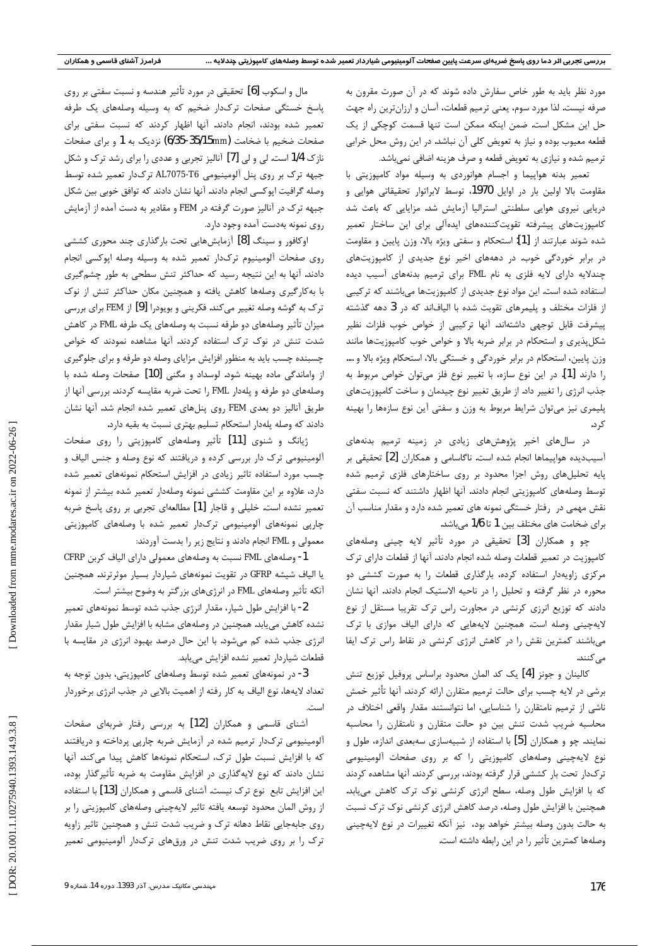مورد نظر باید به طور خاص سفارش داده شوند که در آن صورت مقرون به صرفه نیست. لذا مورد سوم، یعنی ترمیم قطعات، آسان و ارزانترین راه جهت حل این مشکل است. ضمن اینکه ممکن است تنها قسمت کوچکی از یک قطعه معیوب بوده و نیاز به تعویض کلی آن نباشد. در این روش محل خرابی ترمیم شده و نیازی به تعویض قطعه و صرف هزینه اضافی نمیباشد.

تعمیر بدنه هواپیما و اجسام هوانوردی به وسیله مواد کامپوزیتی با مقاومت بالا اولین بار در اوایل 1970، توسط لابراتوار تحقیقاتی هوایی و دریایی نیروی هوایی سلطنتی استرالیا آزمایش شد. مزایایی که باعث شد کامپوزیتهای پیشرفته تقویتکنندههای ایدهآلی برای این ساختار تعمیر شده شوند عبارتند از [1]: استحكام و سفتى ويژه بالا، وزن پايين و مقاومت در برابر خوردگی خوب. در دهههای اخیر نوع جدیدی از کامپوزیتهای چندلایه دارای لایه فلزی به نام FML برای ترمیم بدنههای آسیب دیده استفاده شده است. این مواد نوع جدیدی از کامپوزیتها می باشند که ترکیبی از فلزات مختلف و پلیمرهای تقویت شده با الیافاند که در 3 دهه گذشته پیشرفت قابل توجهی داشتهاند. آنها ترکیبی از خواص خوب فلزات نظیر شکلپذیری و استحکام در برابر ضربه بالا و خواص خوب کامپوزیتها مانند وزن پایین، استحکام در برابر خوردگی و خستگی بالا، استحکام ویژه بالا و …. را دارند [1]. در اين نوع سازه، با تغيير نوع فلز مى توان خواص مربوط به جذب انرژی را تغییر داد. از طریق تغییر نوع چیدمان و ساخت کامپوزیتهای پلیمری نیز میتوان شرایط مربوط به وزن و سفتی آین نوع سازهها را بهینه

در سالهای اخیر پژوهشهای زیادی در زمینه ترمیم بدنههای آسیبدیده هواپیماها انجام شده است. ناگاسامی و همکاران [2] تحقیقی بر پایه تحلیلهای روش اجزا محدود بر روی ساختارهای فلزی ترمیم شده توسط وصلههای کامپوزیتی انجام دادند. آنها اظهار داشتند که نسبت سفتی نقش مهمی در رفتار خستگی نمونه های تعمیر شده دارد و مقدار مناسب آن برای ضخامت های مختلف بین 1 تا 1/6 میباشد.

چو و همكاران [3] تحقيقى در مورد تأثير لايه چينى وصلههاى كامپوزيت در تعمير قطعات وصله شده انجام دادند. آنها از قطعات داراي ترک مرکزی زاویهدار استفاده کرده، بارگذاری قطعات را به صورت کششی دو محوره در نظر گرفته و تحلیل را در ناحیه الاستیک انجام دادند. آنها نشان دادند که توزیع انرزی کرنشی در مجاورت راس ترک تقریبا مستقل از نوع لایهچینی وصله است. همچنین لایههایی که دارای الیاف موازی با ترک میباشند کمترین نقش را در کاهش انرژی کرنشی در نقاط راس ترک ایفا مى كنند.

كالينان و جونز [4] يک کد المان محدود براساس پروفيل توزيع تنش برشی در لایه چسب برای حالت ترمیم متقارن ارائه کردند. آنها تأثیر خمش ناشی از ترمیم نامتقارن را شناسایی، اما نتوانستند مقدار واقعی اختلاف در محاسبه ضریب شدت تنش بین دو حالت متقارن و نامتقارن را محاسبه نمایند. چو و همکاران [5] با استفاده از شبیهسازی سهبعدی اندازه، طول و نوع لایهچینی وصلههای کامپوزیتی را که بر روی صفحات آلومینیومی ترکدار تحت بار کششی قرار گرفته بودند، بررسی کردند. آنها مشاهده کردند که با افزایش طول وصله، سطح انرژی کرنشی نوک ترک کاهش می یابد. همچنین با افزایش طول وصله، درصد کاهش انرژی کرنشی نوک ترک نسبت به حالت بدون وصله بيشتر خواهد بود، نيز آنكه تغييرات در نوع لايهچيني وصلهها كمترين تأثير را در اين رابطه داشته است.

مال و اسکوب [6] تحقیقی در مورد تأثیر هندسه و نسبت سفتی بر روی پاسخ خستگی صفحات ترکدار ضخیم که به وسیله وصلههای یک طرفه تعمیر شده بودند، انجام دادند. آنها اظهار کردند که نسبت سفتی برای صفحات ضخیم با ضخامت (6/35-35/15mm) نزدیک به 1 و برای صفحات نازک 1/4 است. لی و لی [7] آنالیز تجربی و عددی را برای رشد ترک و شکل جبهه ترک بر روی پنل آلومینیومی AL7075-T6 ترکدار تعمیر شده توسط وصله گرافیت ایوکسی انجام دادند. آنها نشان دادند که توافق خوبی بین شکل جبهه ترک در آنالیز صورت گرفته در FEM و مقادیر به دست آمده از آزمایش روی نمونه بهدست آمده وجود دارد.

اوکافور و سینگ [8] آزمایشهایی تحت بارگذاری چند محوری کششی روی صفحات آلومینیوم ترکدار تعمیر شده به وسیله وصله اپوکسی انجام دادند. آنها به این نتیجه رسید که حداکثر تنش سطحی به طور چشمگیری با به کارگیری وصلهها کاهش یافته و همچنین مکان حداکثر تنش از نوک ترک به گوشه وصله تغییر می کند. فکرینی و بویودرا [9] از FEM برای بررسی میزان تأثیر وصلههای دو طرفه نسبت به وصلههای یک طرفه FML در کاهش شدت تنش در نوک ترک استفاده کردند. آنها مشاهده نمودند که خواص چسبنده چسب باید به منظور افزایش مزایای وصله دو طرفه و برای جلوگیری از واماندگی ماده بهینه شود. لوسداد و مگنی [10] صفحات وصله شده با وصلههای دو طرفه و پلهدار FML را تحت ضربه مقایسه کردند. بررسی آنها از طریق آنالیز دو بعدی FEM روی پنلهای تعمیر شده انجام شد. آنها نشان دادند که وصله یلهدار استحکام تسلیم بهتری نسبت به بقیه دارد.

ژیانگ و شنوی [11] تأثیر وصلههای کامپوزیتی را روی صفحات آلومینیومی ترک دار بررسی کرده و دریافتند که نوع وصله و جنس الیاف و چسب مورد استفاده تاثیر زیادی در افزایش استحکام نمونههای تعمیر شده دارد، علاوه بر این مقاومت کششی نمونه وصلهدار تعمیر شده بیشتر از نمونه تعمیر نشده است. خلیلی و قاجار [1] مطالعهای تجربی بر روی پاسخ ضربه چاریی نمونههای آلومینیومی ترکدار تعمیر شده با وصلههای کامپوزیتی معمولی و FML انجام دادند و نتایج زیر را بدست آوردند:

1- وصلههای FML نسبت به وصلههای معمولی دارای الیاف کربن CFRP یا الیاف شیشه GFRP در تقویت نمونههای شیاردار بسیار موثرترند. همچنین آنکه تأثیر وصلههای FML در انرژیهای بزرگتر به وضوح بیشتر است.

2- با افزایش طول شیار، مقدار انرژی جذب شده توسط نمونههای تعمیر نشده کاهش مییابد. همچنین در وصلههای مشابه با افزایش طول شیار مقدار انرژی جذب شده کم میشود. با این حال درصد بهبود انرژی در مقایسه با قطعات شياردار تعمير نشده افزايش مى يابد.

3- در نمونههای تعمیر شده توسط وصلههای کامپوزیتی، بدون توجه به تعداد لايهها، نوع الياف به كار رفته از اهميت بالايي در جذب انرژي برخوردار است.

آشنای قاسمی و همکاران [12] به بررسی رفتار ضربهای صفحات آلومینیومی ترکدار ترمیم شده در آزمایش ضربه چارپی پرداخته و دریافتند كه با افزايش نسبت طول ترك، استحكام نمونهها كاهش ييدا مى كند. آنها نشان دادند که نوع لایهگذاری در افزایش مقاومت به ضربه تأثیرگذار بوده، این افزایش تابع نوع ترک نیست. آشنای قاسمی و همکاران [13] با استفاده از روش المان محدود توسعه یافته تاثیر لایهچینی وصلههای کامپوزیتی را بر روی جابهجایی نقاط دهانه ترک و ضریب شدت تنش و همچنین تاثیر زاویه ترک را بر روی ضریب شدت تنش در ورقهای ترکدار آلومینیومی تعمیر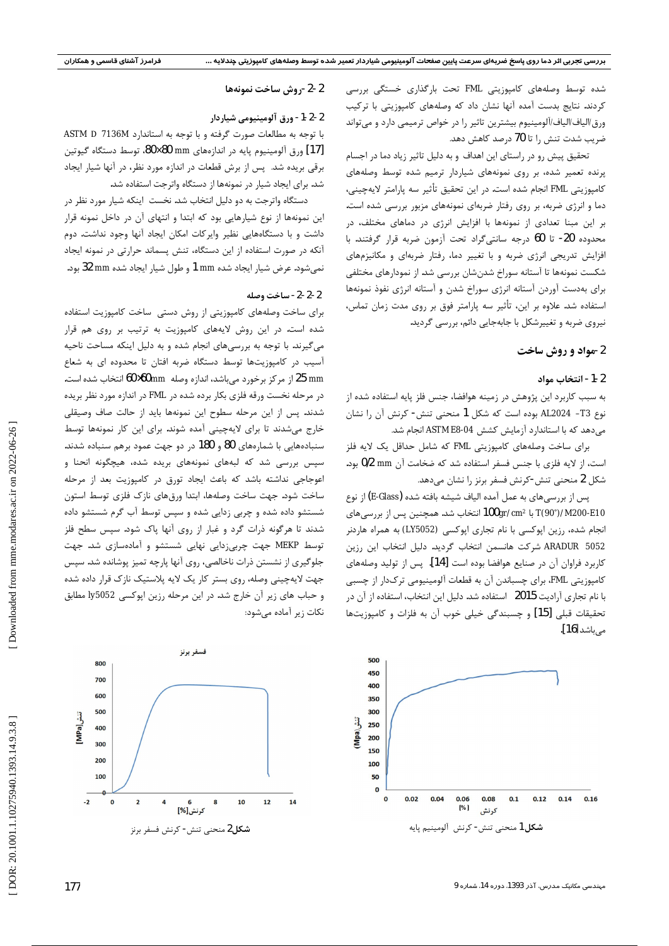شده توسط وصلههای کامپوزیتی FML تحت بارگذاری خستگی بررسی کردند. نتایج بدست آمده آنها نشان داد که وصلههای کامپوزیتی با ترکیب ورق/الیاف/الیاف/آلومینیوم بیشترین تاثیر را در خواص ترمیمی دارد و میتواند ضریب شدت تنش را تا 70 درصد کاهش دهد.

تحقیق پیش رو در راستای این اهداف و به دلیل تاثیر زیاد دما در اجسام پرنده تعمیر شده، بر روی نمونههای شیاردار ترمیم شده توسط وصلههای كامپوزيتي FML انجام شده است. در اين تحقيق تأثير سه پارامتر لايهچيني، دما و انرژی ضربه، بر روی رفتار ضربهای نمونههای مزبور بررسی شده است. بر این مبنا تعدادی از نمونهها با افزایش انرژی در دماهای مختلف، در محدوده 20- تا 60 درجه سانتي گراد تحت آزمون ضربه قرار گرفتند. با افزایش تدریجی انرژی ضربه و با تغییر دما، رفتار ضربهای و مکانیزمهای شکست نمونهها تا آستانه سوراخ شدنشان بررسی شد. از نمودارهای مختلفی برای بهدست آوردن آستانه انرژی سوراخ شدن و آستانه انرژی نفوذ نمونهها استفاده شد. علاوه بر این، تأثیر سه پارامتر فوق بر روی مدت زمان تماس، نیروی ضربه و تغییرشکل با جابهجایی دائم، بررسی گردید.

# 2-مواد و روش ساخت

### 2-1- انتخاب مواد

به سبب کاربرد این پژوهش در زمینه هوافضا، جنس فلز پایه استفاده شده از نوع T3– AL2024 بوده است كه شكل 1 منحنى تنش- كرنش آن ,ا نشان می دهد که با استاندارد آزمایش کشش ASTM E8-04 انجام شد.

برای ساخت وصلههای کامپوزیتی FML که شامل حداقل یک لایه فلز است، از لایه فلزی با جنس فسفر استفاده شد که ضخامت آن 0/2 mm و. شکل 2 منحنی تنش-کرنش فسفر برنز را نشان میدهد.

پس از بررسیهای به عمل آمده الیاف شیشه بافته شده (E-Glass) از نوع T(90°)/M200-E10 با 100gr/cm2 انتخاب شد. همچنین پس از بررسیهای انجام شده، رزین اپوکسی با نام تجاری اپوکسی (LY5052) به همراه هاردنر ARADUR 5052 شركت هانسمن انتخاب گرديد. دليل انتخاب اين رزين كاربرد فراوان آن در صنايع هوافضا بوده است [14]. يس از توليد وصلههاى کامپوزیتی FML، برای چسباندن آن به قطعات آلومینیومی ترکدار از چسبی با نام تجاری آرادیت 2015 استفاده شد. دلیل این انتخاب، استفاده از آن در تحقيقات قبلي [15] و چسبندگي خيلي خوب آن به فلزات و كامپوزيتها مے باشد [16].



# 2-2-روش ساخت نمونهها

# 2-2-1- ورق آلومينيومي شياردار

با توجه به مطالعات صورت گرفته و با توجه به استاندارد ASTM D 7136M [17] ورق آلومينيوم پايه در اندازههاي 80×80، توسط دستگاه گيوتين برقی بریده شد. پس از برش قطعات در اندازه مورد نظر، در آنها شیار ایجاد شد. برای ایجاد شیار در نمونهها از دستگاه واترجت استفاده شد.

دستگاه واترجت به دو دلیل انتخاب شد. نخست |ینکه شیار مورد نظر در این نمونهها از نوع شیارهایی بود که ابتدا و انتهای آن در داخل نمونه قرار داشت و با دستگاههایی نظیر وایرکات امکان ایجاد آنها وجود نداشت. دوم آنکه در صورت استفاده از این دستگاه، تنش پسماند حرارتی در نمونه ایجاد نمي شود. عرض شيار ايجاد شده 1 mm و طول شيار ايجاد شده 32 mm لود.

#### 2-2-2- ساخت وصله

برای ساخت وصلههای کامپوزیتی از روش دستی ساخت کامپوزیت استفاده شده است. در این روش لایههای کامپوزیت به ترتیب بر روی هم قرار میگیرند. با توجه به بررسیهای انجام شده و به دلیل اینکه مساحت ناحیه آسیب در کامپوزیتها توسط دستگاه ضربه افتان تا محدوده ای به شعاع 25 mm از مرکز برخورد میباشد، اندازه وصله 60×60mm انتخاب شده است. در مرحله نخست ورقه فلزى بكار برده شده در FML در اندازه مورد نظر بريده شدند. پس از این مرحله سطوح این نمونهها باید از حالت صاف وصیقلی خارج می شدند تا برای لایهچینی آمده شوند. برای این کار نمونهها توسط سنبادههایی با شمارههای 80 و 180 در دو جهت عمود برهم سنباده شدند. سپس بررسی شد که لبههای نمونههای بریده شده، هیچگونه انحنا و اعوجاجی نداشته باشد که باعث ایجاد تورق در کامپوزیت بعد از مرحله ساخت شود. جهت ساخت وصلهها، ابتدا ورقهای نازک فلزی توسط استون شستشو داده شده و چربی زدایی شده و سپس توسط آب گرم شستشو داده شدند تا هرگونه ذرات گرد و غبار از روی آنها پاک شود. سپس سطح فلز توسط MEKP جهت چربیزدایی نهایی شستشو و آمادهسازی شد. جهت جلوگیری از نشستن ذرات ناخالصی، روی آنها پارچه تمیز پوشانده شد. سپس جهت لایهچینی وصله، روی بستر کار یک لایه پلاستیک نازک قرار داده شده و حباب های زیر آن خارج شد. در این مرحله رزین اپوکسی ly5052 مطابق نکات زیر آماده میشود:

فسفر برنز

۔<br>کرنش[%]

شكل2 منحنى تنش- كرنش فسفر برنز

 $10$ 

 $12$ 

14



800

700

600

500

400

300

200

100

 $\mathbf{o}$ 

 $\overline{2}$ 

 $-2$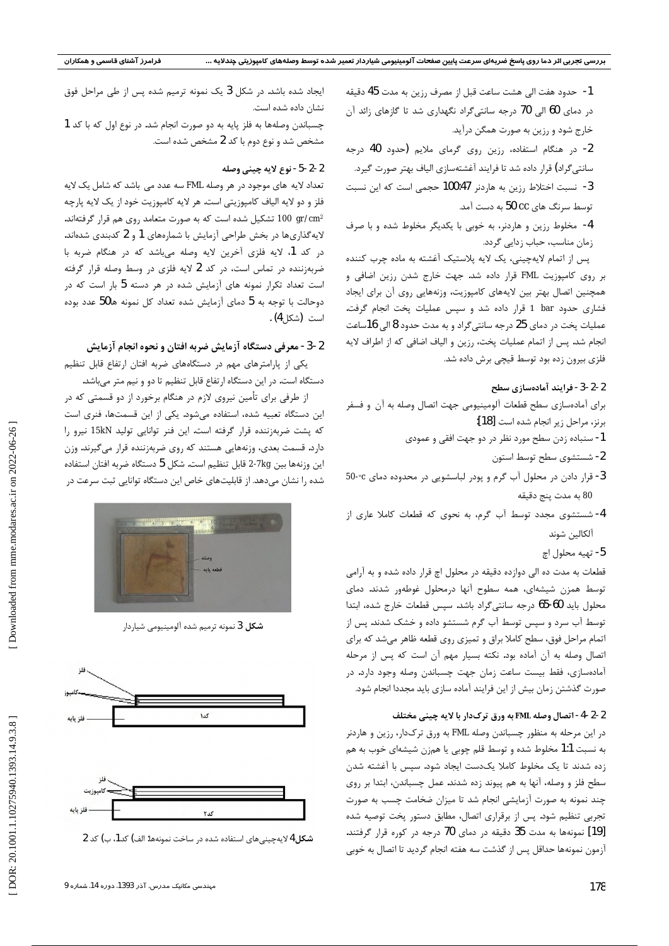1- حدود هفت الى هشت ساعت قبل از مصرف رزين به مدت 45 دقيقه در دمای 60 الی 70 درجه سانتیگراد نگهداری شد تا گازهای زائد آن خارج شود و رزین به صورت همگن درآید.

2- در هنگام استفاده، رزین روی گرمای ملایم (حدود 40 درجه سانتی گراد) قرار داده شد تا فرایند آغشتهسازی الیاف بهتر صورت گیرد. 3- نسبت اختلاط رزين به هاردنر 100:47 حجمى است كه اين نسبت توسط سرنگ های CC 50 به دست آمد.

4- مخلوط رزين و هاردنر، به خوبي با يكديگر مخلوط شده و با صرف زمان مناسب، حباب زدایی گردد.

پس از اتمام لایهچینی، یک لایه پلاستیک آغشته به ماده چرب کننده بر روی کامپوزیت FML قرار داده شد. جهت خارج شدن رزین اضافی و همچنین اتصال بهتر بین لایههای کامپوزیت، وزنههایی روی آن برای ایجاد فشاری حدود 1 bar قرار داده شد و سپس عملیات پخت انجام گرفت. عملیات پخت در دمای 25 درجه سانتی گراد و به مدت حدود 8 الی 16ساعت انجام شد. پس از اتمام عملیات پخت، رزین و الیاف اضافی که از اطراف لایه فلزی بیرون زده بود توسط قیچی برش داده شد.

#### 2-2-3- فرايند آمادهسازي سطح

برای آمادهسازی سطح قطعات آلومینیومی جهت اتصال وصله به آن و فسفر برنز، مراحل زير انجام شده است [18]:

- 1- سنباده زدن سطح مورد نظر در دو جهت افقي و عمودي
	- 2- شستشوى سطح توسط استون
- 3- قرار دادن در محلول آب گرم و پودر لباسشویی در محدوده دمای c°-50 80 به مدت پنج دقيقه
- 4- شستشوی مجدد توسط آب گرم، به نحوی که قطعات کاملا عاری از آلكالين شوند

5- تهيه محلول اچ

قطعات به مدت ده الی دوازده دقیقه در محلول اچ قرار داده شده و به آرامی توسط همزن شیشهای، همه سطوح آنها درمحلول غوطهور شدند. دمای محلول باید 60-65 درجه سانتیگراد باشد. سپس قطعات خارج شده، ابتدا توسط آب سرد و سیس توسط آب گرم شستشو داده و خشک شدند. پس از اتمام مراحل فوق، سطح كاملا براق و تميزي روى قطعه ظاهر مىشد كه براي اتصال وصله به آن آماده بود. نكته بسيار مهم آن است كه پس از مرحله آمادهسازی، فقط بیست ساعت زمان جهت چسباندن وصله وجود دارد. در صورت گذشتن زمان بیش از این فرایند آماده سازی باید مجددا انجام شود.

# 2-2-4- اتصال وصله FML به ورق ترکدار با لايه چيني مختلف

در این مرحله به منظور چسباندن وصله FML به ورق ترکدار، رزین و هاردنر به نسبت 1:1 مخلوط شده و توسط قلم چوبی یا همزن شیشهای خوب به هم زده شدند تا یک مخلوط کاملا یکدست ایجاد شود. سپس با آغشته شدن سطح فلز و وصله، آنها به هم پیوند زده شدند. عمل چسباندن، ابتدا بر روی چند نمونه به صورت آزمایشی انجام شد تا میزان ضخامت چسب به صورت تجربی تنظیم شود. پس از برقراری اتصال، مطابق دستور پخت توصیه شده [19] نمونهها به مدت 35 دقیقه در دمای 70 درجه در کوره قرار گرفتند. آزمون نمونهها حداقل پس از گذشت سه هفته انجام گردید تا اتصال به خوبی

ایجاد شده باشد. در شکل 3 یک نمونه ترمیم شده پس از طی مراحل فوق نشان داده شده است.

چسباندن وصلهها به فلز پایه به دو صورت انجام شد. در نوع اول که با کد 1 مشخص شد و نوع دوم با کد 2 مشخص شده است.

#### 2-2-5- نوع لايه چيني وصله

تعداد لايه هاي موجود در هر وصله FML سه عدد مي باشد كه شامل يك لايه فلز و دو لايه الياف كامپوزيتي است. هر لايه كامپوزيت خود از يک لايه پارچه °100 gr/cm تشکیل شده است که به صورت متعامد روی هم قرار گرفتهاند. لایهگذاریها در بخش طراحی آزمایش با شمارههای 1 و 2 کدبندی شدهاند. در کد 1، لایه فلزی آخرین لایه وصله میباشد که در هنگام ضربه با ضربهزننده در تماس است، در کد 2 لایه فلزی در وسط وصله قرار گرفته است تعداد تکرار نمونه های آزمایش شده در هر دسته 5 بار است که در دوحالت با توجه به 5 دمای آزمایش شده تعداد کل نمونه ها50 عدد بوده است (شکل 4) .

# 2-3- معرفی دستگاه آزمایش ضربه افتان و نحوه انجام آزمایش

یکی از پارامترهای مهم در دستگاههای ضربه افتان ارتفاع قابل تنظیم دستگاه است. در این دستگاه ارتفاع قابل تنظیم تا دو و نیم متر میباشد.

از طرفی برای تأمین نیروی لازم در هنگام برخورد از دو قسمتی که در این دستگاه تعبیه شده، استفاده میشود. یکی از این قسمتها، فنری است که پشت ضربهزننده قرار گرفته است. این فنر توانایی تولید 15kN نیرو را دارد. قسمت بعدی، وزنههایی هستند که روی ضربهزننده قرار میگیرند. وزن اين وزنهها بين 7kg-2 قابل تنظيم است. شكل 5 دستگاه ضربه افتان استفاده شده را نشان میدهد. از قابلیتهای خاص این دستگاه توانایی ثبت سرعت در



شكل 3 نمونه ترميم شده آلومينيومي شياردار



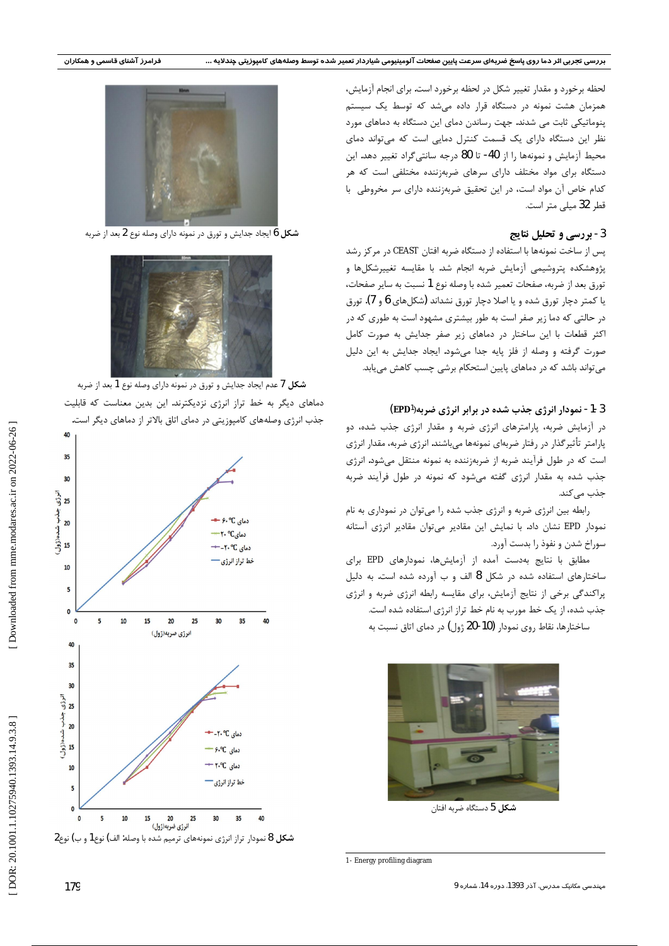لحظه برخورد و مقدار تغییر شکل در لحظه برخورد است. برای انجام آزمایش، همزمان هشت نمونه در دستگاه قرار داده می شد که توسط یک سیستم پنوماتیکی ثابت می شدند. جهت رساندن دمای این دستگاه به دماهای مورد نظر این دستگاه دارای یک قسمت کنترل دمایی است که می تواند دمای محيط آزمايش و نمونهها را از 40- تا 80 درجه سانتي گراد تغيير دهد. اين دستگاه برای مواد مختلف دارای سرهای ضربهزننده مختلفی است که هر كدام خاص آن مواد است، در اين تحقيق ضربهزننده داراى سر مخروطى با قطر 32 میلی متر است.

# 3- بررسی و تحلیل نتایج

پس از ساخت نمونهها با استفاده از دستگاه ضربه افتان CEAST در مركز رشد پژوهشکده پتروشیمی آزمایش ضربه انجام شد. با مقایسه تغییرشکلها و تورق بعد از ضربه، صفحات تعمير شده با وصله نوع 1 نسبت به ساير صفحات، یا کمتر دچار تورق شده و یا اصلا دچار تورق نشداند (شکلهای 6 و 7). تورق در حالتی که دما زیر صفر است به طور بیشتری مشهود است به طوری که در اکثر قطعات با این ساختار در دماهای زیر صفر جدایش به صورت کامل صورت گرفته و وصله از فلز پایه جدا می شود. ایجاد جدایش به این دلیل می تواند باشد که در دماهای پایین استحکام برشی چسب کاهش می یابد.

# 3-1- نمودار انرژی جذب شده در برابر انرژی ضربه(EPD<sup>1</sup>)

در آزمایش ضربه، پارامترهای انرژی ضربه و مقدار انرژی جذب شده، دو پارامتر تأثیر گذار در رفتار ضربهای نمونهها می،باشند. انرژی ضربه، مقدار انرژی است که در طول فرآیند ضربه از ضربهزننده به نمونه منتقل میشود. انرژی جذب شده به مقدار انرژی گفته می شود که نمونه در طول فرآیند ضربه جذب مے کند.

رابطه بین انرژی ضربه و انرژی جذب شده را میتوان در نموداری به نام نمودار EPD نشان داد. با نمایش این مقادیر میتوان مقادیر انرژی آستانه سوراخ شدن و نفوذ را بدست آورد.

مطابق با نتایج بهدست آمده از آزمایشها، نمودارهای EPD برای ساختارهای استفاده شده در شکل 8 الف و ب آورده شده است. به دلیل پراکندگی برخی از نتایج آزمایش، برای مقایسه رابطه انرژی ضربه و انرژی جذب شده، از یک خط مورب به نام خط تراز انرژی استفاده شده است.

ساختارها، نقاط روی نمودار (10-20 ژول) در دمای اتاق نسبت به



شكل 5 دستگاه ضربه افتان



شکل 6 ایجاد جدایش و تورق در نمونه دارای وصله نوع 2 بعد از ضربه







 $2$ شکل 8 نمودار تراز انرژی نمونههای ترمیم شده با وصله: الف) نوع1 و ب) نوع

<sup>1-</sup> Energy profiling diagram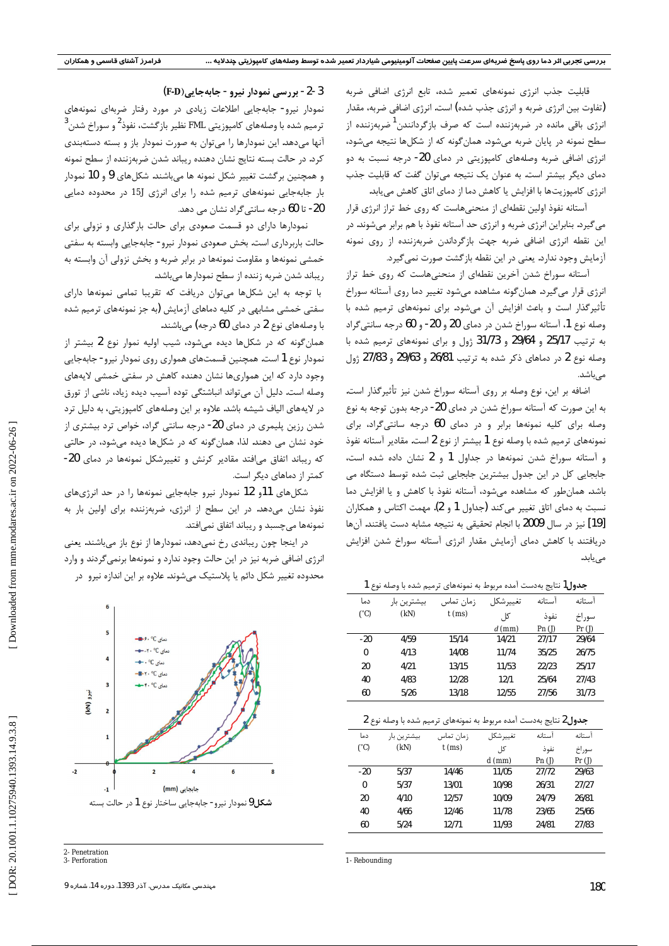قابلیت جذب انرژی نمونههای تعمیر شده، تابع انرژی اضافی ضربه (تفاوت بین انرژی ضربه و انرژی جذب شده) است. انرژی اضافی ضربه، مقدار انرژی باقی مانده در ضربهزننده است که صرف بازگردانندن<sup>1</sup>ضربهزننده از سطح نمونه در پایان ضربه میشود. همانگونه که از شکلها نتیجه میشود، انرژی اضافی ضربه وصلههای کامپوزیتی در دمای 20- درجه نسبت به دو دمای دیگر بیشتر است. به عنوان یک نتیجه میتوان گفت که قابلیت جذب انرژی کامپوزیتها با افزایش یا کاهش دما از دمای اتاق کاهش میبابد.

آستانه نفوذ اولین نقطهای از منحنیهاست که روی خط تراز انرژی قرار می گیرد. بنابراین انرژی ضربه و انرژی حد آستانه نفوذ با هم برابر میشوند. در این نقطه انرژی اضافی ضربه جهت بازگرداندن ضربهزننده از روی نمونه آزمایش وجود ندارد. یعنی در این نقطه بازگشت صورت نمیگیرد.

آستانه سوراخ شدن آخرین نقطهای از منحنیهاست که روی خط تراز انرژی قرار میگیرد. همانگونه مشاهده میشود تغییر دما روی آستانه سوراخ تأثیرگذار است و باعث افزایش آن میشود. برای نمونههای ترمیم شده با وصله نوع 1، آستانه سوراخ شدن در دماي 20 و 20- و 60 درجه سانتي گراد به ترتیب 25/17 و 29/64 و 31/73 ژول و برای نمونههای ترمیم شده با وصله نوع 2 در دماهای ذکر شده به ترتیب 26/81 و 29/63 و 27/83 ژول مىباشد.

اضافه بر این، نوع وصله بر روی آستانه سوراخ شدن نیز تأثیرگذار است. به این صورت که آستانه سوراخ شدن در دمای 20- درجه بدون توجه به نوع وصله برای کلیه نمونهها برابر و در دمای 60 درجه سانتی گراد، برای نمونههای ترمیم شده با وصله نوع 1 بیشتر از نوع 2 است. مقادیر آستانه نفوذ و آستانه سوراخ شدن نمونهها در جداول 1 و 2 نشان داده شده است، جابجایی کل در این جدول بیشترین جابجایی ثبت شده توسط دستگاه می باشد. همان طور که مشاهده میشود، آستانه نفوذ با کاهش و یا افزایش دما نسبت به دمای اتاق تغییر میکند (جداول 1 و 2). مهمت اکتاس و همکاران [19] نيز در سال 2009 با انجام تحقيقى به نتيجه مشابه دست يافتند. آنها دریافتند با کاهش دمای آزمایش مقدار انرژی آستانه سوراخ شدن افزایش می یابد.

| <b>جدول ا</b> نتایج بهدست امده مربوط به نمونههای ترمیم شده با وصله نوع ا |             |           |           |             |        |
|--------------------------------------------------------------------------|-------------|-----------|-----------|-------------|--------|
| دما                                                                      | بيشترين بار | زمان تماس | تغييرشكل  | آستانه      | آستانه |
| $(^{\circ}C)$                                                            | (kN)        | $t$ (ms)  | کل,       | نفوذ        | سوراخ  |
|                                                                          |             |           | $d$ (mm)  | $Pn($ J $)$ | Pr(J)  |
| $-20$                                                                    | 4/59        | 15/14     | 14/21     | 27/17       | 29/64  |
| $\mathbf{0}$                                                             | 4/13        | 14/08     | 11/74     | 35/25       | 26/75  |
| 20                                                                       | 4/21        | 13/15     | 11/53     | 22/23       | 25/17  |
| 40                                                                       | 4/83        | 12/28     | 12/1      | 25/64       | 27/43  |
| 60                                                                       | 5/26        | 13/18     | 12/55     | 27/56       | 31/73  |
|                                                                          |             |           |           |             |        |
| جدول2 نتايج بهدست آمده مربوط به نمونههاي ترميم شده با وصله نوع 2         |             |           |           |             |        |
|                                                                          |             |           |           |             |        |
| دما                                                                      | بيشترين بار | زمان تماس | تغيير شكل | آستانه      | آستانه |
| $(^{\circ}C)$                                                            | (kN)        | $t$ (ms)  | کا ,      | نفوذ        | سوراخ  |
|                                                                          |             |           | $d$ (mm)  | $Pn($ J $)$ | Pr(J)  |
| $-20$                                                                    | 5/37        | 14/46     | 11/05     | 27/72       | 29/63  |
| 0                                                                        | 5/37        | 13/01     | 10/98     | 26/31       | 27/27  |
| 20                                                                       | 4/10        | 12/57     | 10/09     | 24/79       | 26/81  |
| 40                                                                       | 4/66        | 12/46     | 11/78     | 23/65       | 25/66  |
| 60                                                                       | 5/24        | 12/71     | 11/93     | 24/81       | 27/83  |

1- Rebounding

3-2- بررسی نمودار نیرو- جابهجایی(F-D)

نمودار نیرو- جابهجایی اطلاعات زیادی در مورد رفتار ضربهای نمونههای ترمیم شده با وصلههای کامپوزیتی FML نظیر بازگشت، نفوذ<sup>ک</sup> و سوراخ شدن<sup>۰</sup> آنها میدهد. این نمودارها را میتوان به صورت نمودار باز و بسته دستهبندی كرد. در حالت بسته نتايج نشان دهنده ريباند شدن ضربهزننده از سطح نمونه و همچنین برگشت تغییر شکل نمونه ها میباشند. شکلهای 9 و 10 نمودار بار جابهجایی نمونههای ترمیم شده را برای انرژی لـ15 در محدوده دمایی 20- تا 60 درجه سانتي گراد نشان مي دهد.

نمودارها دارای دو قسمت صعودی برای حالت بارگذاری و نزولی برای حالت باربرداری است. بخش صعودی نمودار نیرو- جابهجایی وابسته به سفتی خمشی نمونهها و مقاومت نمونهها در برابر ضربه و بخش نزولی آن وابسته به ریباند شدن ضربه زننده از سطح نمودارها میباشد.

با توجه به این شکلها میتوان دریافت که تقریبا تمامی نمونهها دارای سفتی خمشی مشابهی در کلیه دماهای آزمایش (به جز نمونههای ترمیم شده با وصلههای نوع 2 در دمای 60 درجه) میباشند.

همان گونه که در شکلها دیده میشود، شیب اولیه نموار نوع 2 بیشتر از نمودار نوع 1 است. همچنین قسمتهای همواری روی نمودار نیرو- جابهجایی وجود دارد که این همواریها نشان دهنده کاهش در سفتی خمشی لایههای وصله است. دلیل آن می تواند انباشتگی توده آسیب دیده زیاد، ناشی از تورق در لایههای الیاف شیشه باشد. علاوه بر این وصلههای کامپوزیتی، به دلیل ترد شدن رزین پلیمری در دمای 20- درجه سانتی گراد، خواص ترد بیشتری از خود نشان می دهند. لذا، همان گونه که در شکلها دیده میشود، در حالتی که ریباند اتفاق میافتد مقادیر کرنش و تغییرشکل نمونهها در دمای 20-کمتر از دماهای دیگر است.

شکلهای 11و 12 نمودار نیرو جابهجایی نمونهها را در حد انرژیهای نفوذ نشان میدهد. در این سطح از انرژی، ضربهزننده برای اولین بار به نمونهها می چسبد و ریباند اتفاق نمی افتد.

در اینجا چون ریباندی رخ نمیدهد، نمودارها از نوع باز میباشند. یعنی انرژی اضافی ضربه نیز در این حالت وجود ندارد و نمونهها برنمی گردند و وارد محدوده تغییر شکل دائم یا پلاستیک میشوند. علاوه بر این اندازه نیرو در



<sup>2-</sup> Penetration 3- Perforation

مهندسی مکانیک مدرس، آذر 1393، دوره 14، شماره 9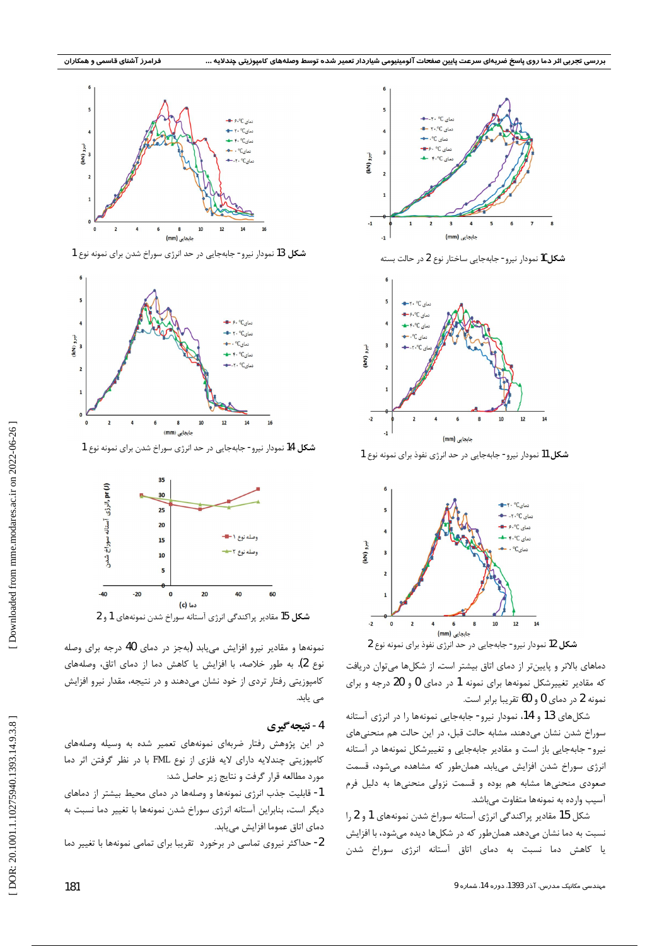

شكل 13 نمودار نيرو- جابهجايي در حد انرژى سوراخ شدن براى نمونه نوع 1



شكل 14 نمودار نيرو- جابهجايي در حد انرژي سوراخ شدن براي نمونه نوع 1



**شکل 1**5 مقادیر پراکندگی انرژی آستانه سوراخ شدن نمونههای 1 و 2

نمونهها و مقادیر نیرو افزایش می یابد (بهجز در دمای 40 درجه برای وصله نوع 2). به طور خلاصه، با افزایش یا کاهش دما از دمای اتاق، وصلههای کامپوزیتی رفتار تردی از خود نشان میدهند و در نتیجه، مقدار نیرو افزایش می یابد.

#### 4- نتيجه گيري

در این پژوهش رفتار ضربهای نمونههای تعمیر شده به وسیله وصلههای کامپوزیتی چندلایه دارای لایه فلزی از نوع FML با در نظر گرفتن اثر دما مورد مطالعه قرار گرفت و نتایج زیر حاصل شد:

1- قابلیت جذب انرژی نمونهها و وصلهها در دمای محیط بیشتر از دماهای دیگر است، بنابراین آستانه انرژی سوراخ شدن نمونهها با تغییر دما نسبت به دماي اتاق عموما افزايش مييابد.

2- حداكثر نيروى تماسى در برخورد تقريبا براى تمامى نمونهها با تغيير دما



شكل10 نمودار نيرو- جابهجايي ساختار نوع 2 در حالت بسته



**شکل 1**1 نمودار نیرو- جابهجایی در حد انرژی نفوذ برای نمونه نوع 1



دماهای بالاتر و پایینتر از دمای اتاق بیشتر است. از شکلها میتوان دریافت که مقادیر تغییرشکل نمونهها برای نمونه 1 در دمای 0 و 20 درجه و برای

شکلهای 13 و 14، نمودار نیرو- جابهجایی نمونهها را در انرژی آستانه سوراخ شدن نشان میدهند. مشابه حالت قبل، در این حالت هم منحنیهای نیرو- جابهجایی باز است و مقادیر جابهجایی و تغییرشکل نمونهها در آستانه انرژی سوراخ شدن افزایش مییابد. همانطور که مشاهده میشود، قسمت صعودی منحنیها مشابه هم بوده و قسمت نزولی منحنیها به دلیل فرم آسيب وارده به نمونهها متفاوت مىباشد.

شکل 15 مقادیر پراکندگی انرژی آستانه سوراخ شدن نمونههای 1 و 2 را نسبت به دما نشان میدهد. همانطور که در شکلها دیده میشود، با افزایش یا کاهش دما نسبت به دمای اتاق آستانه انرژی سوراخ شدن

نمونه 2 در دمای 0 و 60 تقریبا برابر است.